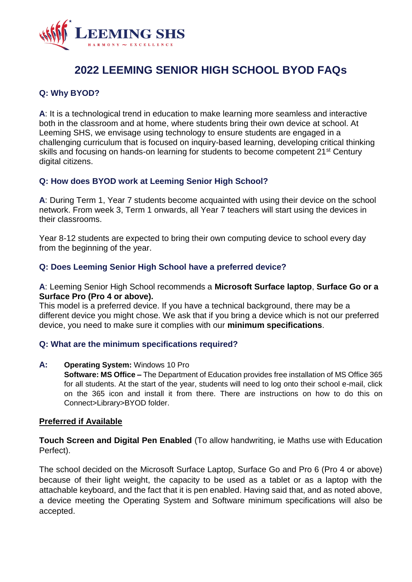

# **2022 LEEMING SENIOR HIGH SCHOOL BYOD FAQs**

# **Q: Why BYOD?**

**A**: It is a technological trend in education to make learning more seamless and interactive both in the classroom and at home, where students bring their own device at school. At Leeming SHS, we envisage using technology to ensure students are engaged in a challenging curriculum that is focused on inquiry-based learning, developing critical thinking skills and focusing on hands-on learning for students to become competent 21<sup>st</sup> Century digital citizens.

# **Q: How does BYOD work at Leeming Senior High School?**

**A**: During Term 1, Year 7 students become acquainted with using their device on the school network. From week 3, Term 1 onwards, all Year 7 teachers will start using the devices in their classrooms.

Year 8-12 students are expected to bring their own computing device to school every day from the beginning of the year.

## **Q: Does Leeming Senior High School have a preferred device?**

#### **A**: Leeming Senior High School recommends a **Microsoft Surface laptop**, **Surface Go or a Surface Pro (Pro 4 or above).**

This model is a preferred device. If you have a technical background, there may be a different device you might chose. We ask that if you bring a device which is not our preferred device, you need to make sure it complies with our **minimum specifications**.

## **Q: What are the minimum specifications required?**

## **A: Operating System:** Windows 10 Pro

**Software: MS Office –** The Department of Education provides free installation of MS Office 365 for all students. At the start of the year, students will need to log onto their school e-mail, click on the 365 icon and install it from there. There are instructions on how to do this on Connect>Library>BYOD folder.

## **Preferred if Available**

**Touch Screen and Digital Pen Enabled** (To allow handwriting, ie Maths use with Education Perfect).

The school decided on the Microsoft Surface Laptop, Surface Go and Pro 6 (Pro 4 or above) because of their light weight, the capacity to be used as a tablet or as a laptop with the attachable keyboard, and the fact that it is pen enabled. Having said that, and as noted above, a device meeting the Operating System and Software minimum specifications will also be accepted.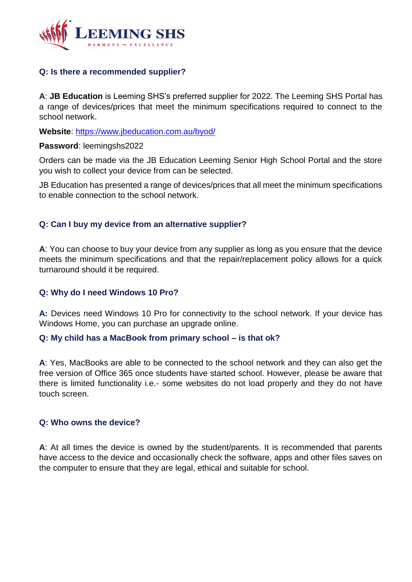

## **Q: Is there a recommended supplier?**

**A**: **JB Education** is Leeming SHS's preferred supplier for 2022. The Leeming SHS Portal has a range of devices/prices that meet the minimum specifications required to connect to the school network.

**Website**:<https://www.jbeducation.com.au/byod/>

#### **Password**: leemingshs2022

Orders can be made via the JB Education Leeming Senior High School Portal and the store you wish to collect your device from can be selected.

JB Education has presented a range of devices/prices that all meet the minimum specifications to enable connection to the school network.

## **Q: Can I buy my device from an alternative supplier?**

**A**: You can choose to buy your device from any supplier as long as you ensure that the device meets the minimum specifications and that the repair/replacement policy allows for a quick turnaround should it be required.

## **Q: Why do I need Windows 10 Pro?**

**A:** Devices need Windows 10 Pro for connectivity to the school network. If your device has Windows Home, you can purchase an upgrade online.

#### **Q: My child has a MacBook from primary school – is that ok?**

**A**: Yes, MacBooks are able to be connected to the school network and they can also get the free version of Office 365 once students have started school. However, please be aware that there is limited functionality i.e.- some websites do not load properly and they do not have touch screen.

#### **Q: Who owns the device?**

**A**: At all times the device is owned by the student/parents. It is recommended that parents have access to the device and occasionally check the software, apps and other files saves on the computer to ensure that they are legal, ethical and suitable for school.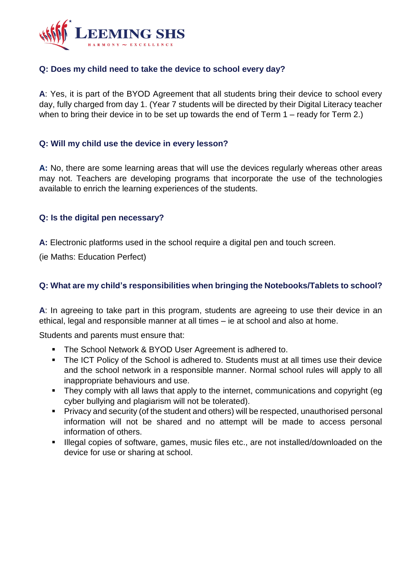

# **Q: Does my child need to take the device to school every day?**

**A**: Yes, it is part of the BYOD Agreement that all students bring their device to school every day, fully charged from day 1. (Year 7 students will be directed by their Digital Literacy teacher when to bring their device in to be set up towards the end of Term 1 – ready for Term 2.)

## **Q: Will my child use the device in every lesson?**

**A:** No, there are some learning areas that will use the devices regularly whereas other areas may not. Teachers are developing programs that incorporate the use of the technologies available to enrich the learning experiences of the students.

## **Q: Is the digital pen necessary?**

**A:** Electronic platforms used in the school require a digital pen and touch screen.

(ie Maths: Education Perfect)

# **Q: What are my child's responsibilities when bringing the Notebooks/Tablets to school?**

**A**: In agreeing to take part in this program, students are agreeing to use their device in an ethical, legal and responsible manner at all times – ie at school and also at home.

Students and parents must ensure that:

- **The School Network & BYOD User Agreement is adhered to.**
- The ICT Policy of the School is adhered to. Students must at all times use their device and the school network in a responsible manner. Normal school rules will apply to all inappropriate behaviours and use.
- They comply with all laws that apply to the internet, communications and copyright (eq cyber bullying and plagiarism will not be tolerated).
- Privacy and security (of the student and others) will be respected, unauthorised personal information will not be shared and no attempt will be made to access personal information of others.
- Illegal copies of software, games, music files etc., are not installed/downloaded on the device for use or sharing at school.